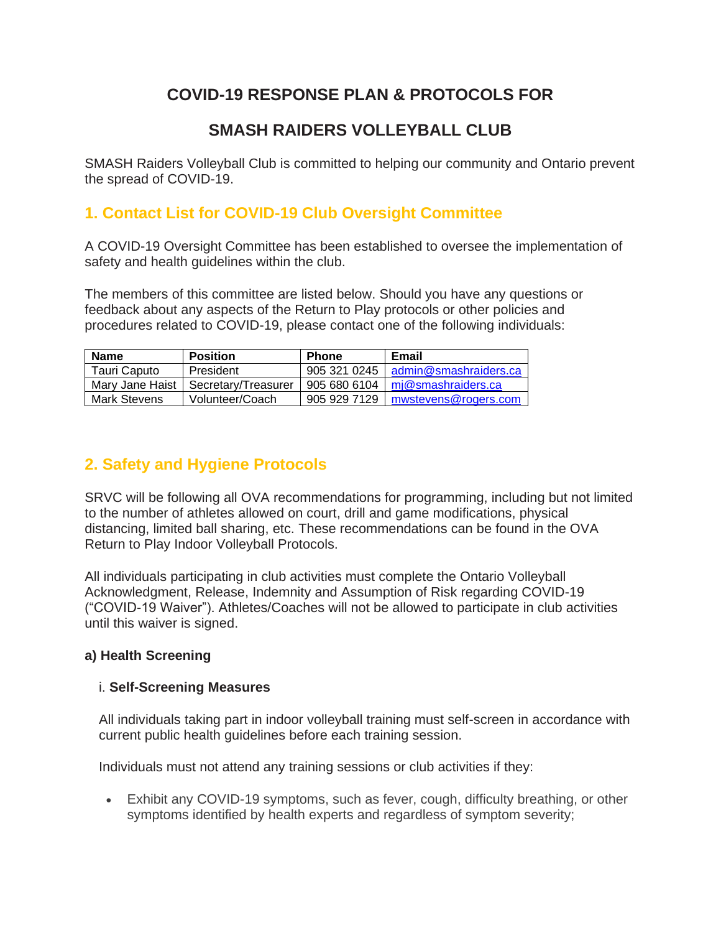# **COVID-19 RESPONSE PLAN & PROTOCOLS FOR**

# **SMASH RAIDERS VOLLEYBALL CLUB**

SMASH Raiders Volleyball Club is committed to helping our community and Ontario prevent the spread of COVID-19.

## **1. Contact List for COVID-19 Club Oversight Committee**

A COVID-19 Oversight Committee has been established to oversee the implementation of safety and health guidelines within the club.

The members of this committee are listed below. Should you have any questions or feedback about any aspects of the Return to Play protocols or other policies and procedures related to COVID-19, please contact one of the following individuals:

| <b>Name</b>  | <b>Position</b>                       | <b>Phone</b> | Email                                  |
|--------------|---------------------------------------|--------------|----------------------------------------|
| Tauri Caputo | President                             |              | 905 321 0245   admin@smashraiders.ca   |
|              | Mary Jane Haist   Secretary/Treasurer |              | 905 680 6104 $\mid$ mj@smashraiders.ca |
| Mark Stevens | Volunteer/Coach                       |              | 905 929 7129   mwstevens@rogers.com    |

### **2. Safety and Hygiene Protocols**

SRVC will be following all OVA recommendations for programming, including but not limited to the number of athletes allowed on court, drill and game modifications, physical distancing, limited ball sharing, etc. These recommendations can be found in the OVA Return to Play Indoor Volleyball Protocols.

All individuals participating in club activities must complete the Ontario Volleyball Acknowledgment, Release, Indemnity and Assumption of Risk regarding COVID-19 ("COVID-19 Waiver"). Athletes/Coaches will not be allowed to participate in club activities until this waiver is signed.

### **a) Health Screening**

#### i. **Self-Screening Measures**

All individuals taking part in indoor volleyball training must self-screen in accordance with current public health guidelines before each training session.

Individuals must not attend any training sessions or club activities if they:

• Exhibit any COVID-19 symptoms, such as fever, cough, difficulty breathing, or other symptoms identified by health experts and regardless of symptom severity;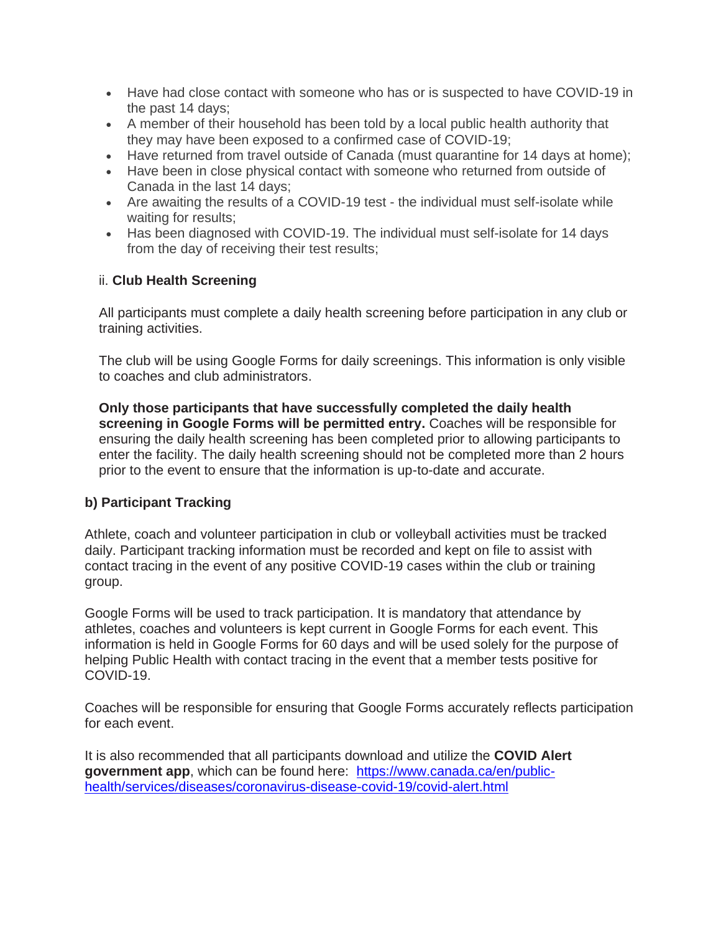- Have had close contact with someone who has or is suspected to have COVID-19 in the past 14 days;
- A member of their household has been told by a local public health authority that they may have been exposed to a confirmed case of COVID-19;
- Have returned from travel outside of Canada (must quarantine for 14 days at home);
- Have been in close physical contact with someone who returned from outside of Canada in the last 14 days;
- Are awaiting the results of a COVID-19 test the individual must self-isolate while waiting for results;
- Has been diagnosed with COVID-19. The individual must self-isolate for 14 days from the day of receiving their test results;

#### ii. **Club Health Screening**

All participants must complete a daily health screening before participation in any club or training activities.

The club will be using Google Forms for daily screenings. This information is only visible to coaches and club administrators.

**Only those participants that have successfully completed the daily health screening in Google Forms will be permitted entry.** Coaches will be responsible for ensuring the daily health screening has been completed prior to allowing participants to enter the facility. The daily health screening should not be completed more than 2 hours prior to the event to ensure that the information is up-to-date and accurate.

### **b) Participant Tracking**

Athlete, coach and volunteer participation in club or volleyball activities must be tracked daily. Participant tracking information must be recorded and kept on file to assist with contact tracing in the event of any positive COVID-19 cases within the club or training group.

Google Forms will be used to track participation. It is mandatory that attendance by athletes, coaches and volunteers is kept current in Google Forms for each event. This information is held in Google Forms for 60 days and will be used solely for the purpose of helping Public Health with contact tracing in the event that a member tests positive for COVID-19.

Coaches will be responsible for ensuring that Google Forms accurately reflects participation for each event.

It is also recommended that all participants download and utilize the **COVID Alert**  government app, which can be found here: [https://www.canada.ca/en/public](https://www.canada.ca/en/public-health/services/diseases/coronavirus-disease-covid-19/covid-alert.html)[health/services/diseases/coronavirus-disease-covid-19/covid-alert.html](https://www.canada.ca/en/public-health/services/diseases/coronavirus-disease-covid-19/covid-alert.html)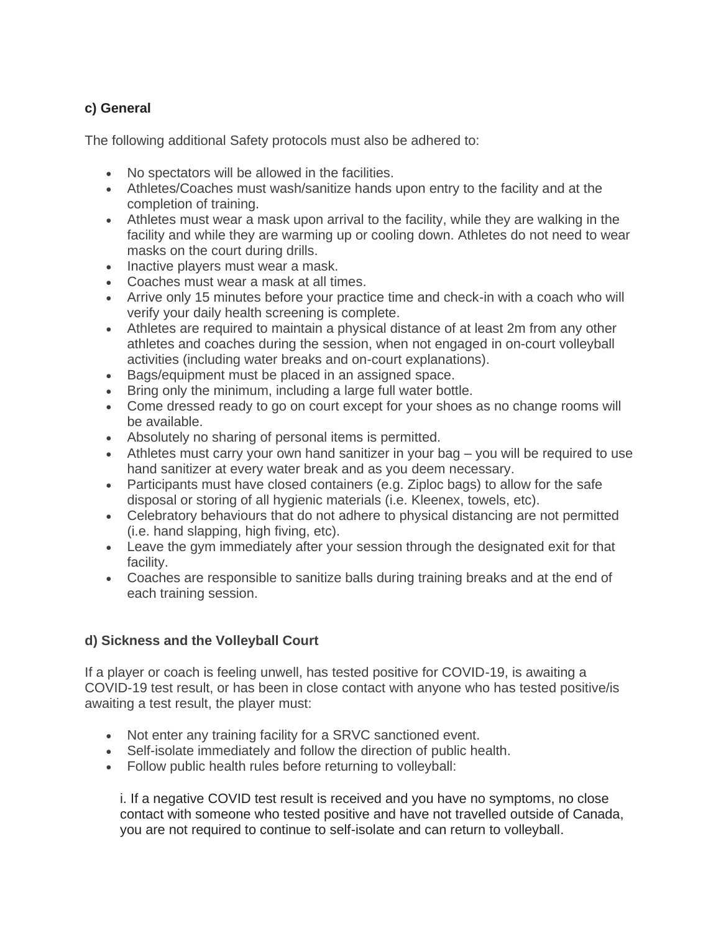### **c) General**

The following additional Safety protocols must also be adhered to:

- No spectators will be allowed in the facilities.
- Athletes/Coaches must wash/sanitize hands upon entry to the facility and at the completion of training.
- Athletes must wear a mask upon arrival to the facility, while they are walking in the facility and while they are warming up or cooling down. Athletes do not need to wear masks on the court during drills.
- Inactive players must wear a mask.
- Coaches must wear a mask at all times.
- Arrive only 15 minutes before your practice time and check-in with a coach who will verify your daily health screening is complete.
- Athletes are required to maintain a physical distance of at least 2m from any other athletes and coaches during the session, when not engaged in on-court volleyball activities (including water breaks and on-court explanations).
- Bags/equipment must be placed in an assigned space.
- Bring only the minimum, including a large full water bottle.
- Come dressed ready to go on court except for your shoes as no change rooms will be available.
- Absolutely no sharing of personal items is permitted.
- Athletes must carry your own hand sanitizer in your bag you will be required to use hand sanitizer at every water break and as you deem necessary.
- Participants must have closed containers (e.g. Ziploc bags) to allow for the safe disposal or storing of all hygienic materials (i.e. Kleenex, towels, etc).
- Celebratory behaviours that do not adhere to physical distancing are not permitted (i.e. hand slapping, high fiving, etc).
- Leave the gym immediately after your session through the designated exit for that facility.
- Coaches are responsible to sanitize balls during training breaks and at the end of each training session.

### **d) Sickness and the Volleyball Court**

If a player or coach is feeling unwell, has tested positive for COVID-19, is awaiting a COVID-19 test result, or has been in close contact with anyone who has tested positive/is awaiting a test result, the player must:

- Not enter any training facility for a SRVC sanctioned event.
- Self-isolate immediately and follow the direction of public health.
- Follow public health rules before returning to volleyball:

i. If a negative COVID test result is received and you have no symptoms, no close contact with someone who tested positive and have not travelled outside of Canada, you are not required to continue to self-isolate and can return to volleyball.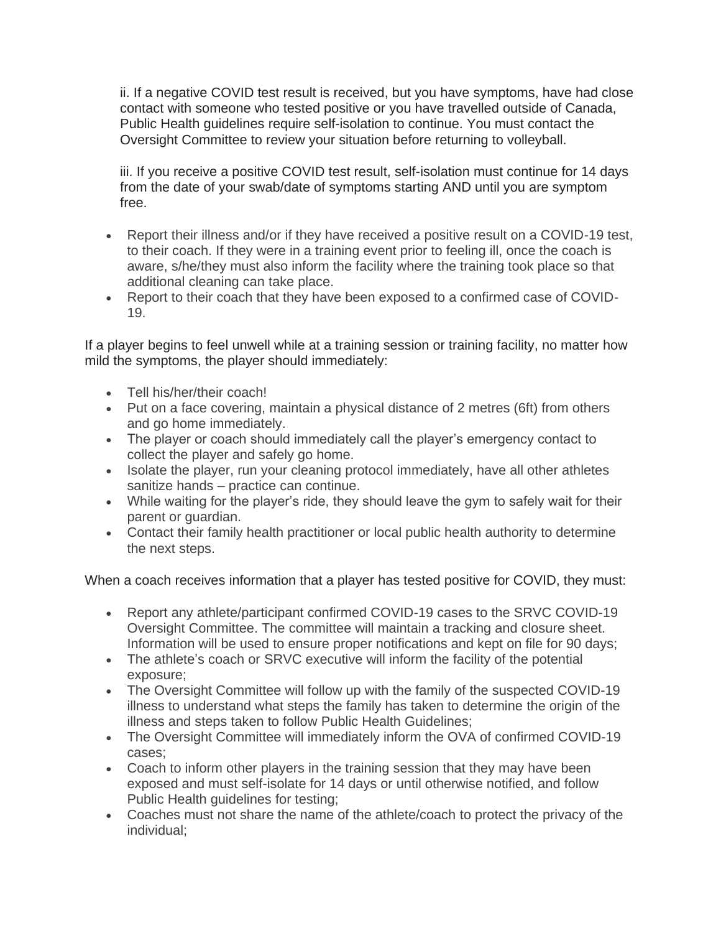ii. If a negative COVID test result is received, but you have symptoms, have had close contact with someone who tested positive or you have travelled outside of Canada, Public Health guidelines require self-isolation to continue. You must contact the Oversight Committee to review your situation before returning to volleyball.

iii. If you receive a positive COVID test result, self-isolation must continue for 14 days from the date of your swab/date of symptoms starting AND until you are symptom free.

- Report their illness and/or if they have received a positive result on a COVID-19 test, to their coach. If they were in a training event prior to feeling ill, once the coach is aware, s/he/they must also inform the facility where the training took place so that additional cleaning can take place.
- Report to their coach that they have been exposed to a confirmed case of COVID-19.

If a player begins to feel unwell while at a training session or training facility, no matter how mild the symptoms, the player should immediately:

- Tell his/her/their coach!
- Put on a face covering, maintain a physical distance of 2 metres (6ft) from others and go home immediately.
- The player or coach should immediately call the player's emergency contact to collect the player and safely go home.
- Isolate the player, run your cleaning protocol immediately, have all other athletes sanitize hands – practice can continue.
- While waiting for the player's ride, they should leave the gym to safely wait for their parent or guardian.
- Contact their family health practitioner or local public health authority to determine the next steps.

When a coach receives information that a player has tested positive for COVID, they must:

- Report any athlete/participant confirmed COVID-19 cases to the SRVC COVID-19 Oversight Committee. The committee will maintain a tracking and closure sheet. Information will be used to ensure proper notifications and kept on file for 90 days;
- The athlete's coach or SRVC executive will inform the facility of the potential exposure;
- The Oversight Committee will follow up with the family of the suspected COVID-19 illness to understand what steps the family has taken to determine the origin of the illness and steps taken to follow Public Health Guidelines;
- The Oversight Committee will immediately inform the OVA of confirmed COVID-19 cases;
- Coach to inform other players in the training session that they may have been exposed and must self-isolate for 14 days or until otherwise notified, and follow Public Health guidelines for testing;
- Coaches must not share the name of the athlete/coach to protect the privacy of the individual;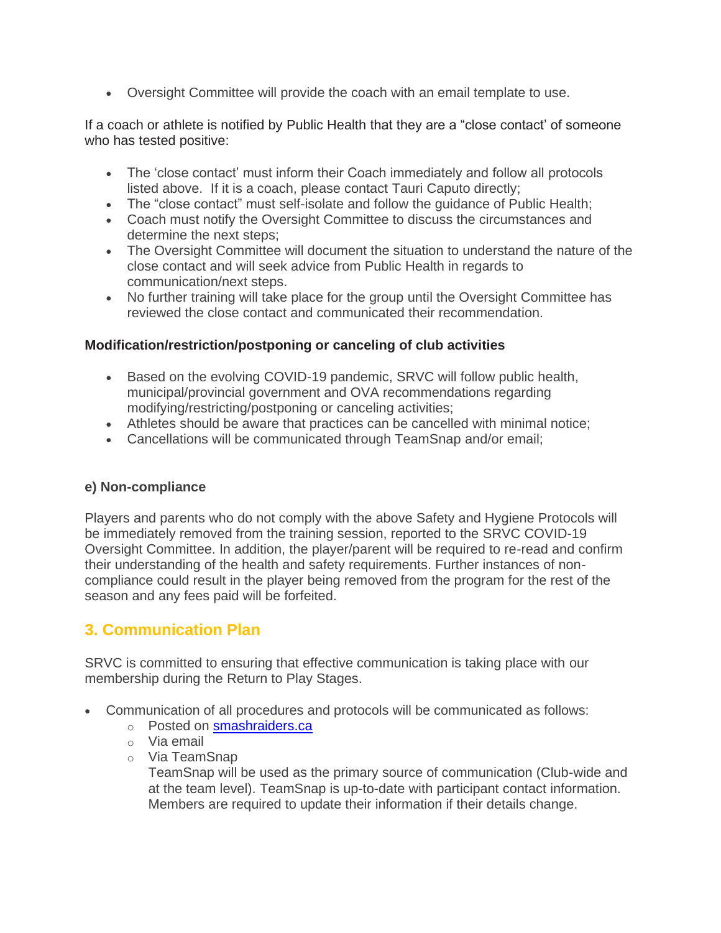• Oversight Committee will provide the coach with an email template to use.

If a coach or athlete is notified by Public Health that they are a "close contact' of someone who has tested positive:

- The 'close contact' must inform their Coach immediately and follow all protocols listed above. If it is a coach, please contact Tauri Caputo directly;
- The "close contact" must self-isolate and follow the guidance of Public Health;
- Coach must notify the Oversight Committee to discuss the circumstances and determine the next steps;
- The Oversight Committee will document the situation to understand the nature of the close contact and will seek advice from Public Health in regards to communication/next steps.
- No further training will take place for the group until the Oversight Committee has reviewed the close contact and communicated their recommendation.

#### **Modification/restriction/postponing or canceling of club activities**

- Based on the evolving COVID-19 pandemic, SRVC will follow public health, municipal/provincial government and OVA recommendations regarding modifying/restricting/postponing or canceling activities;
- Athletes should be aware that practices can be cancelled with minimal notice;
- Cancellations will be communicated through TeamSnap and/or email;

### **e) Non-compliance**

Players and parents who do not comply with the above Safety and Hygiene Protocols will be immediately removed from the training session, reported to the SRVC COVID-19 Oversight Committee. In addition, the player/parent will be required to re-read and confirm their understanding of the health and safety requirements. Further instances of noncompliance could result in the player being removed from the program for the rest of the season and any fees paid will be forfeited.

### **3. Communication Plan**

SRVC is committed to ensuring that effective communication is taking place with our membership during the Return to Play Stages.

- Communication of all procedures and protocols will be communicated as follows:
	- o Posted on [smashraiders.ca](http://www.smashraiders.ca/)
	- o Via email
	- o Via TeamSnap

TeamSnap will be used as the primary source of communication (Club-wide and at the team level). TeamSnap is up-to-date with participant contact information. Members are required to update their information if their details change.